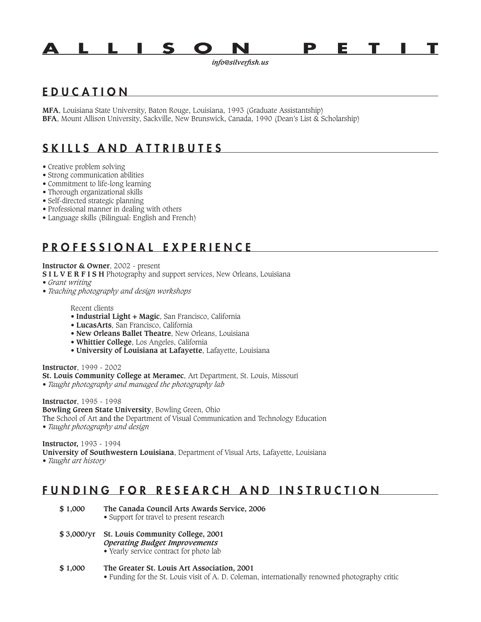

*info@silverfish.us*

# E D U C A T I O N

**MFA**, Louisiana State University, Baton Rouge, Louisiana, 1993 (Graduate Assistantship) **BFA**, Mount Allison University, Sackville, New Brunswick, Canada, 1990 (Dean's List & Scholarship)

# SKILLS AND ATTRIBUTES

- Creative problem solving
- Strong communication abilities
- Commitment to life-long learning
- Thorough organizational skills
- Self-directed strategic planning
- Professional manner in dealing with others
- Language skills (Bilingual: English and French)

## P R O F E S S I O N A L E X P E R I E N C E

#### **Instructor & Owner**, 2002 - present

- **S I L V E R F I S H** Photography and support services, New Orleans, Louisiana
- *Grant writing*
- *Teaching photography and design workshops*

Recent clients

- **Industrial Light + Magic**, San Francisco, California
- **LucasArts**, San Francisco, California
- **New Orleans Ballet Theatre**, New Orleans, Louisiana
- **Whittier College**, Los Angeles, California
- **University of Louisiana at Lafayette**, Lafayette, Louisiana

**Instructor**, 1999 - 2002 **St. Louis Community College at Meramec**, Art Department, St. Louis, Missouri

*• Taught photography and managed the photography lab*

**Instructor**, 1995 - 1998 **Bowling Green State University**, Bowling Green, Ohio The School of Art and the Department of Visual Communication and Technology Education *• Taught photography and design*

**Instructor,** 1993 - 1994 **University of Southwestern Louisiana**, Department of Visual Arts, Lafayette, Louisiana *• Taught art history*

## FUNDING FOR RESEARCH AND INSTRUCTION

- **\$ 1,000 The Canada Council Arts Awards Service, 2006** • Support for travel to present research
- **\$ 3,000/yr St. Louis Community College, 2001** *Operating Budget Improvements* • Yearly service contract for photo lab
- **\$ 1,000 The Greater St. Louis Art Association, 2001** • Funding for the St. Louis visit of A. D. Coleman, internationally renowned photography critic